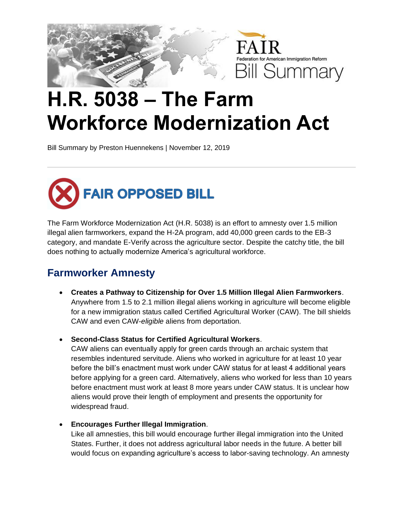

# **H.R. 5038 – The Farm Workforce Modernization Act**

Bill Summary by Preston Huennekens | November 12, 2019



The Farm Workforce Modernization Act (H.R. 5038) is an effort to amnesty over 1.5 million illegal alien farmworkers, expand the H-2A program, add 40,000 green cards to the EB-3 category, and mandate E-Verify across the agriculture sector. Despite the catchy title, the bill does nothing to actually modernize America's agricultural workforce.

## **Farmworker Amnesty**

- **Creates a Pathway to Citizenship for Over 1.5 Million Illegal Alien Farmworkers**. Anywhere from 1.5 to 2.1 million illegal aliens working in agriculture will become eligible for a new immigration status called Certified Agricultural Worker (CAW). The bill shields CAW and even CAW-*eligible* aliens from deportation.
- **Second-Class Status for Certified Agricultural Workers**.

CAW aliens can eventually apply for green cards through an archaic system that resembles indentured servitude. Aliens who worked in agriculture for at least 10 year before the bill's enactment must work under CAW status for at least 4 additional years before applying for a green card. Alternatively, aliens who worked for less than 10 years before enactment must work at least 8 more years under CAW status. It is unclear how aliens would prove their length of employment and presents the opportunity for widespread fraud.

• **Encourages Further Illegal Immigration**.

Like all amnesties, this bill would encourage further illegal immigration into the United States. Further, it does not address agricultural labor needs in the future. A better bill would focus on expanding agriculture's access to labor-saving technology. An amnesty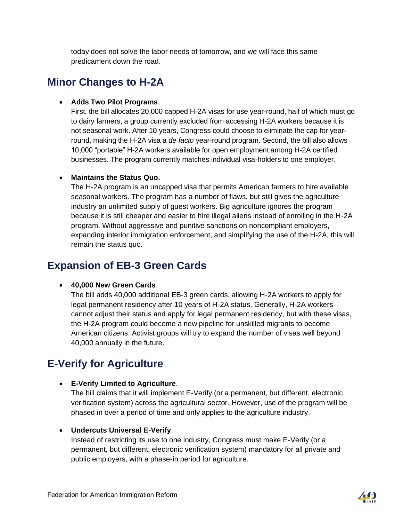today does not solve the labor needs of tomorrow, and we will face this same predicament down the road.

## **Minor Changes to H-2A**

#### • **Adds Two Pilot Programs**.

First, the bill allocates 20,000 capped H-2A visas for use year-round, half of which must go to dairy farmers, a group currently excluded from accessing H-2A workers because it is not seasonal work. After 10 years, Congress could choose to eliminate the cap for yearround, making the H-2A visa a *de facto* year-round program. Second, the bill also allows 10,000 "portable" H-2A workers available for open employment among H-2A certified businesses. The program currently matches individual visa-holders to one employer.

#### • **Maintains the Status Quo.**

The H-2A program is an uncapped visa that permits American farmers to hire available seasonal workers. The program has a number of flaws, but still gives the agriculture industry an unlimited supply of guest workers. Big agriculture ignores the program because it is still cheaper and easier to hire illegal aliens instead of enrolling in the H-2A program. Without aggressive and punitive sanctions on noncompliant employers, expanding interior immigration enforcement, and simplifying the use of the H-2A, this will remain the status quo.

## **Expansion of EB-3 Green Cards**

#### • **40,000 New Green Cards**.

The bill adds 40,000 additional EB-3 green cards, allowing H-2A workers to apply for legal permanent residency after 10 years of H-2A status. Generally, H-2A workers cannot adjust their status and apply for legal permanent residency, but with these visas, the H-2A program could become a new pipeline for unskilled migrants to become American citizens. Activist groups will try to expand the number of visas well beyond 40,000 annually in the future.

## **E-Verify for Agriculture**

#### • **E-Verify Limited to Agriculture**.

The bill claims that it will implement E-Verify (or a permanent, but different, electronic verification system) across the agricultural sector. However, use of the program will be phased in over a period of time and only applies to the agriculture industry.

#### • **Undercuts Universal E-Verify**.

Instead of restricting its use to one industry, Congress must make E-Verify (or a permanent, but different, electronic verification system) mandatory for all private and public employers, with a phase-in period for agriculture.